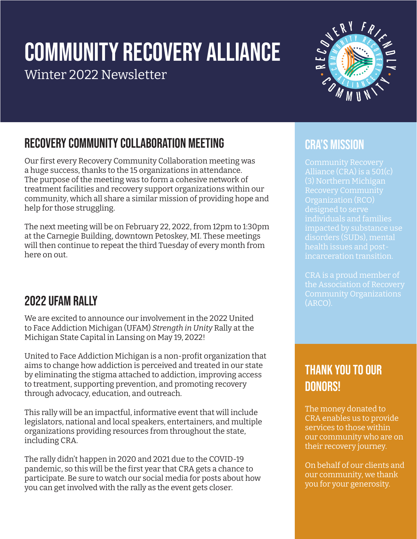# Community REcovery Alliance

Winter 2022 Newsletter



## Recovery Community Collaboration Meeting

Our first every Recovery Community Collaboration meeting was a huge success, thanks to the 15 organizations in attendance. The purpose of the meeting was to form a cohesive network of treatment facilities and recovery support organizations within our community, which all share a similar mission of providing hope and help for those struggling.

The next meeting will be on February 22, 2022, from 12pm to 1:30pm at the Carnegie Building, downtown Petoskey, MI. These meetings will then continue to repeat the third Tuesday of every month from here on out.

### 2022 UFAM RALLY

We are excited to announce our involvement in the 2022 United to Face Addiction Michigan (UFAM) *Strength in Unity* Rally at the Michigan State Capital in Lansing on May 19, 2022!

United to Face Addiction Michigan is a non-profit organization that aims to change how addiction is perceived and treated in our state by eliminating the stigma attached to addiction, improving access to treatment, supporting prevention, and promoting recovery through advocacy, education, and outreach.

This rally will be an impactful, informative event that will include legislators, national and local speakers, entertainers, and multiple organizations providing resources from throughout the state, including CRA.

The rally didn't happen in 2020 and 2021 due to the COVID-19 pandemic, so this will be the first year that CRA gets a chance to participate. Be sure to watch our social media for posts about how you can get involved with the rally as the event gets closer.

#### CRA's Mission

Community Recovery Alliance (CRA) is a 501(c) (3) Northern Michigan Organization (RCO) designed to serve individuals and families impacted by substance use disorders (SUDs), mental health issues and postincarceration transition.

CRA is a proud member of Community Organizations (ARCO).

#### Thank You to Our DONORS!

The money donated to CRA enables us to provide services to those within our community who are on their recovery journey.

On behalf of our clients and our community, we thank you for your generosity.